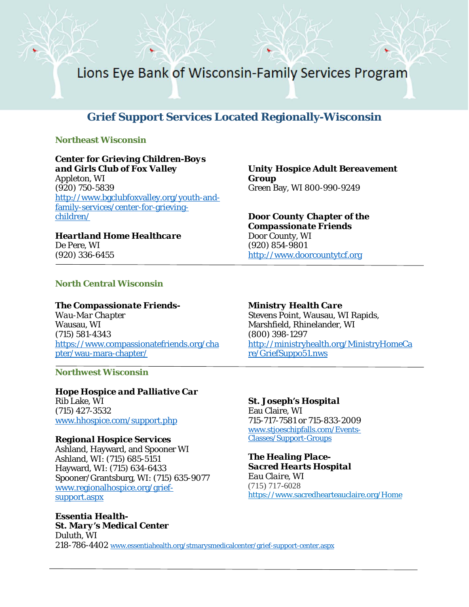Lions Eye Bank of Wisconsin-Family Services Program

# **Grief Support Services Located Regionally-Wisconsin**

#### **Northeast Wisconsin**

# *Center for Grieving Children-Boys*

*and Girls Club of Fox Valley* Appleton, WI (920) 750-5839 [http://www.bgclubfoxvalley.org/youth-and](http://www.bgclubfoxvalley.org/youth-and-family-services/center-for-grieving-children/)[family-services/center-for-grieving](http://www.bgclubfoxvalley.org/youth-and-family-services/center-for-grieving-children/)[children/](http://www.bgclubfoxvalley.org/youth-and-family-services/center-for-grieving-children/)

*Heartland Home Healthcare* De Pere, WI (920) 336-6455

*Unity Hospice Adult Bereavement Group* Green Bay, WI 800-990-9249

*Door County Chapter of the Compassionate Friends* Door County, WI (920) 854-9801 [http://www.doorcountytcf.org](http://www.doorcountytcf.org/)

### **North Central Wisconsin**

*The Compassionate Friends-Wau-Mar Chapter* Wausau, WI (715) 581-4343 [https://www.compassionatefriends.org/cha](https://www.compassionatefriends.org/chapter/wau-mara-chapter/) [pter/wau-mara-chapter/](https://www.compassionatefriends.org/chapter/wau-mara-chapter/)

**Northwest Wisconsin** 

*Hope Hospice and Palliative Car* Rib Lake, WI (715) 427-3532 [www.hhospice.com/support.php](http://www.hhospice.com/support.php)

### *Regional Hospice Services*

Ashland, Hayward, and Spooner WI Ashland, WI: (715) 685-5151 Hayward, WI: (715) 634-6433 Spooner/Grantsburg, WI: (715) 635-9077 [www.regionalhospice.org/grief](http://www.regionalhospice.org/grief-support.aspx)[support.aspx](http://www.regionalhospice.org/grief-support.aspx)

*Essentia Health-St. Mary's Medical Center* Duluth, WI 218-786-4402 [www.essentiahealth.org/stmarysmedicalcenter/grief-support-center.aspx](http://www.essentiahealth.org/stmarysmedicalcenter/grief-support-center.aspx)

*Ministry Health Care* Stevens Point, Wausau, WI Rapids, Marshfield, Rhinelander, WI (800) 398-1297 [http://ministryhealth.org/MinistryHomeCa](http://ministryhealth.org/MinistryHomeCare/GriefSuppo51.nws) [re/GriefSuppo51.nws](http://ministryhealth.org/MinistryHomeCare/GriefSuppo51.nws)

*St. Joseph's Hospital* Eau Claire, WI 715-717-7581 or 715-833-2009 [www.stjoeschipfalls.com/Events-](http://www.stjoeschipfalls.com/Events-Classes/Support-Groups)[Classes/Support-Groups](http://www.stjoeschipfalls.com/Events-Classes/Support-Groups)

*The Healing Place-Sacred Hearts Hospital Eau Claire, WI* (715) 717-6028 https://www.sacredhearteauclaire.org/Home